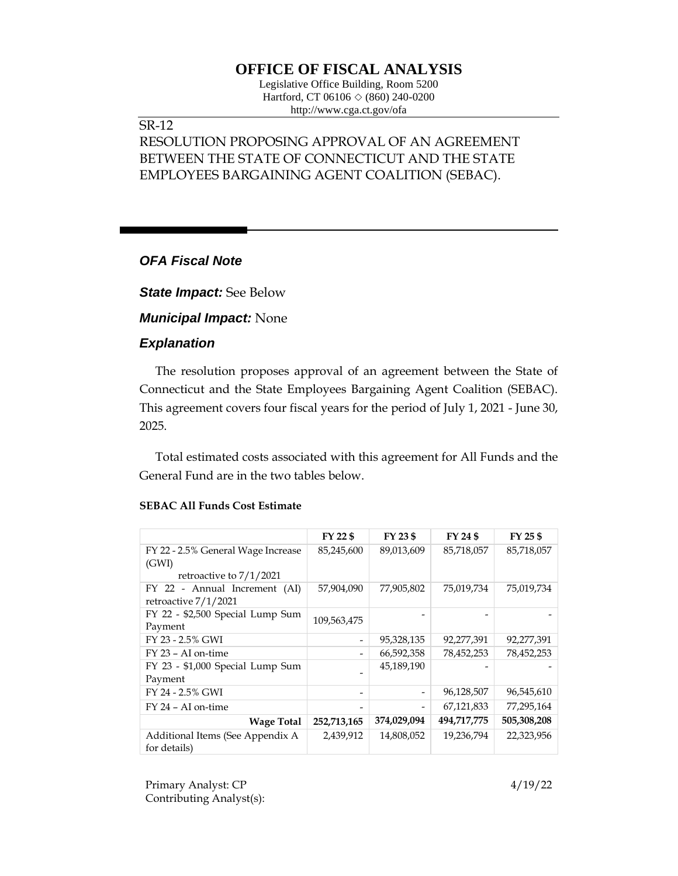# **OFFICE OF FISCAL ANALYSIS**

Legislative Office Building, Room 5200 Hartford, CT 06106  $\Diamond$  (860) 240-0200 http://www.cga.ct.gov/ofa

### SR-12

# RESOLUTION PROPOSING APPROVAL OF AN AGREEMENT BETWEEN THE STATE OF CONNECTICUT AND THE STATE EMPLOYEES BARGAINING AGENT COALITION (SEBAC).

### *OFA Fiscal Note*

*State Impact:* See Below

*Municipal Impact:* None

### *Explanation*

The resolution proposes approval of an agreement between the State of Connecticut and the State Employees Bargaining Agent Coalition (SEBAC). This agreement covers four fiscal years for the period of July 1, 2021 - June 30, 2025.

Total estimated costs associated with this agreement for All Funds and the General Fund are in the two tables below.

|                                                  | FY 22 \$    | FY 23 \$                 | FY 24 \$    | FY 25 \$    |
|--------------------------------------------------|-------------|--------------------------|-------------|-------------|
| FY 22 - 2.5% General Wage Increase               | 85,245,600  | 89,013,609               | 85,718,057  | 85,718,057  |
| (GWI)                                            |             |                          |             |             |
| retroactive to $7/1/2021$                        |             |                          |             |             |
| FY 22 - Annual Increment (AI)                    | 57,904,090  | 77,905,802               | 75,019,734  | 75,019,734  |
| retroactive 7/1/2021                             |             |                          |             |             |
| FY 22 - \$2,500 Special Lump Sum                 | 109,563,475 |                          |             |             |
| Payment                                          |             |                          |             |             |
| FY 23 - 2.5% GWI                                 |             | 95,328,135               | 92,277,391  | 92,277,391  |
| $FY$ 23 – AI on-time                             |             | 66,592,358               | 78,452,253  | 78,452,253  |
| FY 23 - \$1,000 Special Lump Sum                 |             | 45,189,190               |             |             |
| Payment                                          |             |                          |             |             |
| FY 24 - 2.5% GWI                                 |             | $\overline{\phantom{a}}$ | 96,128,507  | 96,545,610  |
| $FY$ 24 – AI on-time                             |             | $\overline{\phantom{a}}$ | 67,121,833  | 77,295,164  |
| <b>Wage Total</b>                                | 252,713,165 | 374,029,094              | 494,717,775 | 505,308,208 |
| Additional Items (See Appendix A<br>for details) | 2,439,912   | 14,808,052               | 19,236,794  | 22,323,956  |

#### **SEBAC All Funds Cost Estimate**

Primary Analyst: CP 4/19/22 Contributing Analyst(s):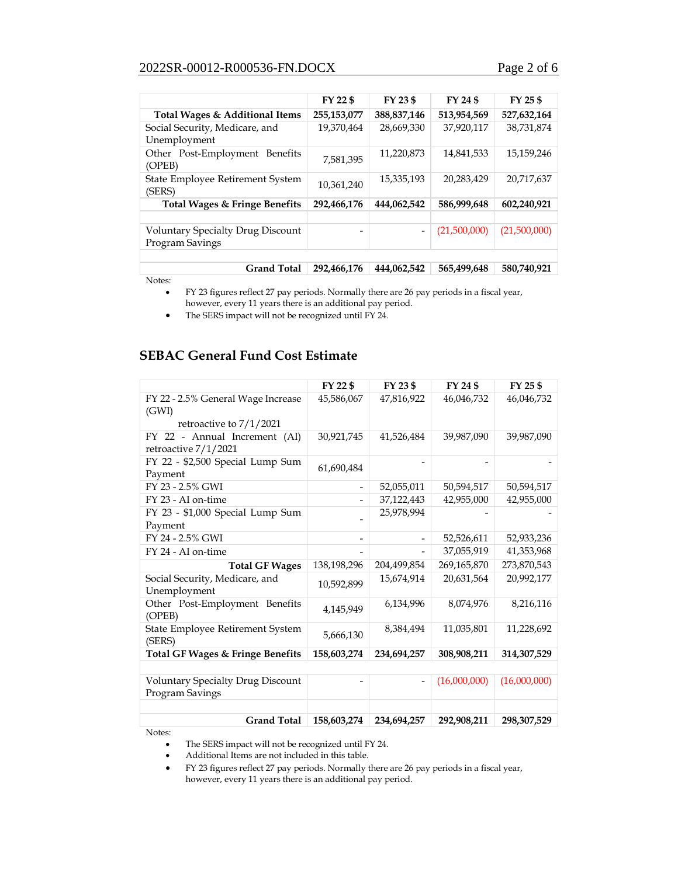## 2022SR-00012-R000536-FN.DOCX Page 2 of 6

|                                                             | FY 22 \$    | FY 23 \$                 | FY 24 \$     | FY 25 \$     |
|-------------------------------------------------------------|-------------|--------------------------|--------------|--------------|
| Total Wages & Additional Items                              | 255,153,077 | 388,837,146              | 513,954,569  | 527,632,164  |
| Social Security, Medicare, and<br>Unemployment              | 19,370,464  | 28,669,330               | 37,920,117   | 38.731.874   |
| Other Post-Employment Benefits<br>(OPEB)                    | 7.581.395   | 11,220,873               | 14,841,533   | 15,159,246   |
| State Employee Retirement System<br>(SERS)                  | 10,361,240  | 15,335,193               | 20,283,429   | 20,717,637   |
| Total Wages & Fringe Benefits                               | 292,466,176 | 444,062,542              | 586,999,648  | 602,240,921  |
|                                                             |             |                          |              |              |
| <b>Voluntary Specialty Drug Discount</b><br>Program Savings |             | $\overline{\phantom{a}}$ | (21,500,000) | (21,500,000) |
|                                                             |             |                          |              |              |
| <b>Grand Total</b>                                          | 292,466,176 | 444,062,542              | 565,499,648  | 580,740,921  |

Notes:

• FY 23 figures reflect 27 pay periods. Normally there are 26 pay periods in a fiscal year, however, every 11 years there is an additional pay period.

• The SERS impact will not be recognized until FY 24.

## **SEBAC General Fund Cost Estimate**

|                                                             | FY 22 \$                 | FY 23 \$       | FY 24 \$     | FY 25 \$     |
|-------------------------------------------------------------|--------------------------|----------------|--------------|--------------|
| FY 22 - 2.5% General Wage Increase<br>(GWI)                 | 45,586,067               | 47,816,922     | 46,046,732   | 46,046,732   |
| retroactive to 7/1/2021                                     |                          |                |              |              |
| FY 22 - Annual Increment (AI)<br>retroactive 7/1/2021       | 30,921,745               | 41,526,484     | 39,987,090   | 39,987,090   |
| FY 22 - \$2,500 Special Lump Sum<br>Payment                 | 61,690,484               |                |              |              |
| FY 23 - 2.5% GWI                                            | $\overline{\phantom{a}}$ | 52,055,011     | 50,594,517   | 50,594,517   |
| FY 23 - AI on-time                                          |                          | 37,122,443     | 42,955,000   | 42,955,000   |
| FY 23 - \$1,000 Special Lump Sum                            |                          | 25,978,994     |              |              |
| Payment                                                     |                          |                |              |              |
| FY 24 - 2.5% GWI                                            |                          |                | 52,526,611   | 52,933,236   |
| FY 24 - AI on-time                                          |                          |                | 37,055,919   | 41,353,968   |
| <b>Total GF Wages</b>                                       | 138,198,296              | 204,499,854    | 269,165,870  | 273,870,543  |
| Social Security, Medicare, and<br>Unemployment              | 10.592.899               | 15,674,914     | 20,631,564   | 20,992,177   |
| Other Post-Employment Benefits<br>(OPEB)                    | 4.145.949                | 6,134,996      | 8,074,976    | 8,216,116    |
| State Employee Retirement System<br>(SERS)                  | 5,666,130                | 8,384,494      | 11,035,801   | 11,228,692   |
| <b>Total GF Wages &amp; Fringe Benefits</b>                 | 158,603,274              | 234,694,257    | 308,908,211  | 314,307,529  |
|                                                             |                          |                |              |              |
| <b>Voluntary Specialty Drug Discount</b><br>Program Savings |                          | $\overline{a}$ | (16,000,000) | (16,000,000) |
|                                                             |                          |                |              |              |
| <b>Grand Total</b>                                          | 158,603,274              | 234,694,257    | 292,908,211  | 298,307,529  |

Notes:

The SERS impact will not be recognized until FY 24.

• Additional Items are not included in this table.

• FY 23 figures reflect 27 pay periods. Normally there are 26 pay periods in a fiscal year, however, every 11 years there is an additional pay period.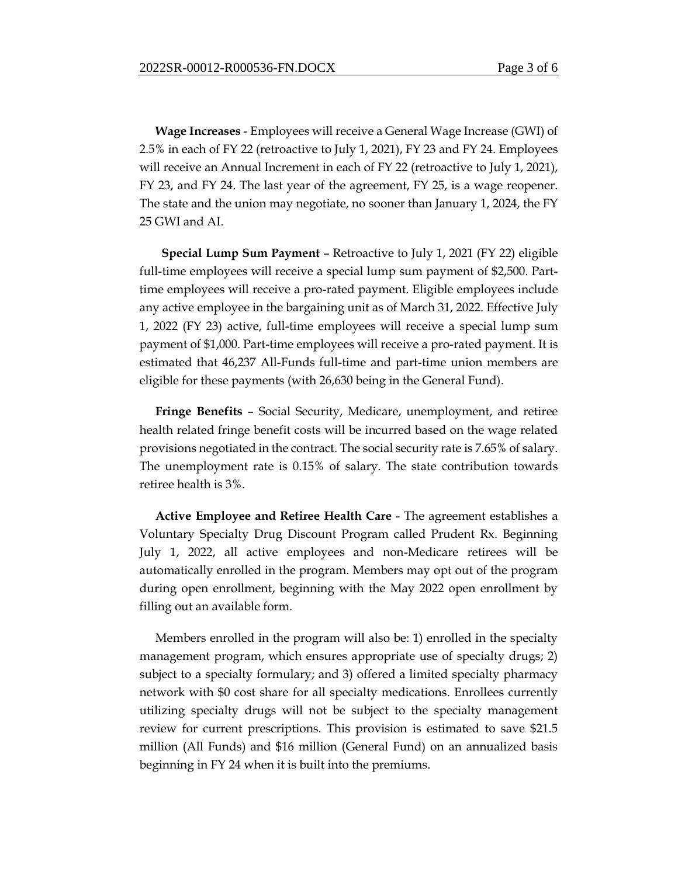**Wage Increases** - Employees will receive a General Wage Increase (GWI) of 2.5% in each of FY 22 (retroactive to July 1, 2021), FY 23 and FY 24. Employees will receive an Annual Increment in each of FY 22 (retroactive to July 1, 2021), FY 23, and FY 24. The last year of the agreement, FY 25, is a wage reopener. The state and the union may negotiate, no sooner than January 1, 2024, the FY 25 GWI and AI.

 **Special Lump Sum Payment** – Retroactive to July 1, 2021 (FY 22) eligible full-time employees will receive a special lump sum payment of \$2,500. Parttime employees will receive a pro-rated payment. Eligible employees include any active employee in the bargaining unit as of March 31, 2022. Effective July 1, 2022 (FY 23) active, full-time employees will receive a special lump sum payment of \$1,000. Part-time employees will receive a pro-rated payment. It is estimated that 46,237 All-Funds full-time and part-time union members are eligible for these payments (with 26,630 being in the General Fund).

**Fringe Benefits** – Social Security, Medicare, unemployment, and retiree health related fringe benefit costs will be incurred based on the wage related provisions negotiated in the contract. The social security rate is 7.65% of salary. The unemployment rate is 0.15% of salary. The state contribution towards retiree health is 3%.

**Active Employee and Retiree Health Care** - The agreement establishes a Voluntary Specialty Drug Discount Program called Prudent Rx. Beginning July 1, 2022, all active employees and non-Medicare retirees will be automatically enrolled in the program. Members may opt out of the program during open enrollment, beginning with the May 2022 open enrollment by filling out an available form.

Members enrolled in the program will also be: 1) enrolled in the specialty management program, which ensures appropriate use of specialty drugs; 2) subject to a specialty formulary; and 3) offered a limited specialty pharmacy network with \$0 cost share for all specialty medications. Enrollees currently utilizing specialty drugs will not be subject to the specialty management review for current prescriptions. This provision is estimated to save \$21.5 million (All Funds) and \$16 million (General Fund) on an annualized basis beginning in FY 24 when it is built into the premiums.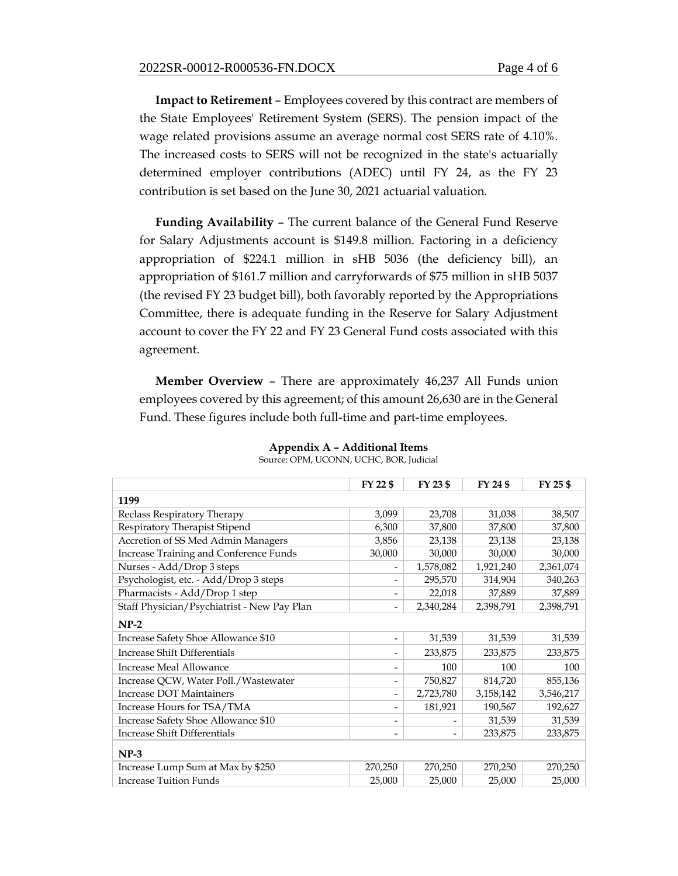**Impact to Retirement** – Employees covered by this contract are members of the State Employees' Retirement System (SERS). The pension impact of the wage related provisions assume an average normal cost SERS rate of 4.10%. The increased costs to SERS will not be recognized in the state's actuarially determined employer contributions (ADEC) until FY 24, as the FY 23 contribution is set based on the June 30, 2021 actuarial valuation.

**Funding Availability** – The current balance of the General Fund Reserve for Salary Adjustments account is \$149.8 million. Factoring in a deficiency appropriation of \$224.1 million in sHB 5036 (the deficiency bill), an appropriation of \$161.7 million and carryforwards of \$75 million in sHB 5037 (the revised FY 23 budget bill), both favorably reported by the Appropriations Committee, there is adequate funding in the Reserve for Salary Adjustment account to cover the FY 22 and FY 23 General Fund costs associated with this agreement.

**Member Overview** – There are approximately 46,237 All Funds union employees covered by this agreement; of this amount 26,630 are in the General Fund. These figures include both full-time and part-time employees.

|                                             | FY 22 \$                 | FY 23 \$  | FY 24 \$  | FY 25 \$  |
|---------------------------------------------|--------------------------|-----------|-----------|-----------|
| 1199                                        |                          |           |           |           |
| Reclass Respiratory Therapy                 | 3,099                    | 23,708    | 31,038    | 38,507    |
| Respiratory Therapist Stipend               | 6,300                    | 37,800    | 37,800    | 37,800    |
| Accretion of SS Med Admin Managers          | 3,856                    | 23,138    | 23,138    | 23,138    |
| Increase Training and Conference Funds      | 30,000                   | 30,000    | 30,000    | 30,000    |
| Nurses - Add/Drop 3 steps                   | $\overline{\phantom{a}}$ | 1,578,082 | 1,921,240 | 2,361,074 |
| Psychologist, etc. - Add/Drop 3 steps       | $\overline{\phantom{a}}$ | 295,570   | 314,904   | 340,263   |
| Pharmacists - Add/Drop 1 step               |                          | 22,018    | 37,889    | 37,889    |
| Staff Physician/Psychiatrist - New Pay Plan | $\overline{\phantom{a}}$ | 2,340,284 | 2,398,791 | 2,398,791 |
| $NP-2$                                      |                          |           |           |           |
| Increase Safety Shoe Allowance \$10         | $\overline{\phantom{a}}$ | 31,539    | 31,539    | 31,539    |
| <b>Increase Shift Differentials</b>         | $\overline{\phantom{a}}$ | 233,875   | 233,875   | 233,875   |
| Increase Meal Allowance                     | $\overline{\phantom{a}}$ | 100       | 100       | 100       |
| Increase QCW, Water Poll./Wastewater        | $\overline{\phantom{a}}$ | 750,827   | 814,720   | 855,136   |
| <b>Increase DOT Maintainers</b>             | $\overline{\phantom{a}}$ | 2,723,780 | 3,158,142 | 3,546,217 |
| Increase Hours for TSA/TMA                  |                          | 181,921   | 190,567   | 192,627   |
| Increase Safety Shoe Allowance \$10         |                          |           | 31,539    | 31,539    |
| <b>Increase Shift Differentials</b>         | $\overline{\phantom{a}}$ | -         | 233,875   | 233,875   |
| $NP-3$                                      |                          |           |           |           |
| Increase Lump Sum at Max by \$250           | 270,250                  | 270,250   | 270,250   | 270,250   |
| <b>Increase Tuition Funds</b>               | 25,000                   | 25,000    | 25,000    | 25,000    |

**Appendix A – Additional Items** Source: OPM, UCONN, UCHC, BOR, Judicial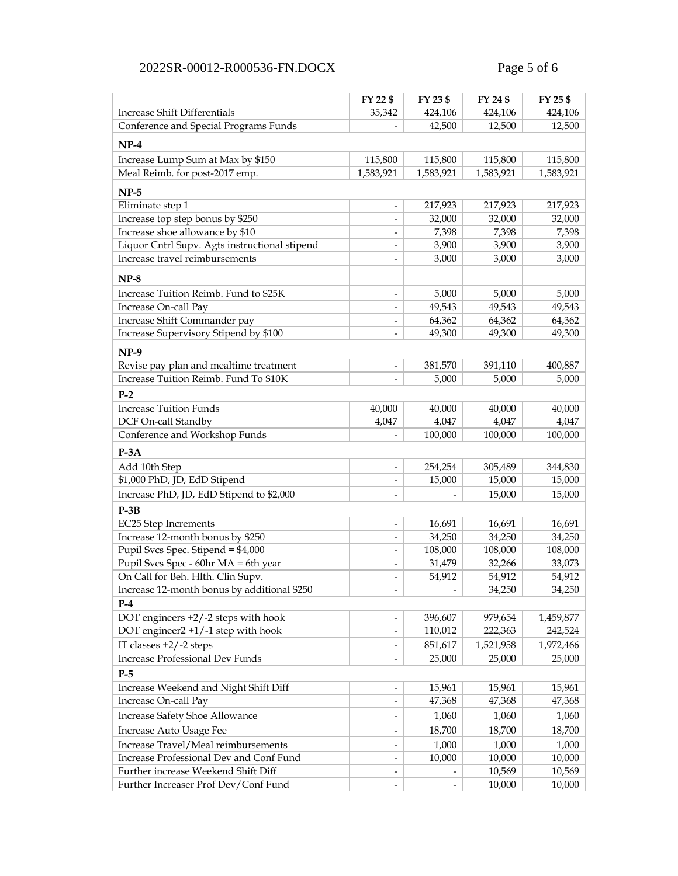# 2022SR-00012-R000536-FN.DOCX Page 5 of 6

|                                                                                 | FY 22 \$                 | FY 23 \$                 | FY 24 \$  | FY 25 \$  |
|---------------------------------------------------------------------------------|--------------------------|--------------------------|-----------|-----------|
| Increase Shift Differentials                                                    | 35,342                   | 424,106                  | 424,106   | 424,106   |
| Conference and Special Programs Funds                                           |                          | 42,500                   | 12,500    | 12,500    |
| $NP-4$                                                                          |                          |                          |           |           |
| Increase Lump Sum at Max by \$150                                               | 115,800                  | 115,800                  | 115,800   | 115,800   |
| Meal Reimb. for post-2017 emp.                                                  | 1,583,921                | 1,583,921                | 1,583,921 | 1,583,921 |
|                                                                                 |                          |                          |           |           |
| $NP-5$                                                                          |                          |                          |           |           |
| Eliminate step 1                                                                | $\overline{\phantom{a}}$ | 217,923                  | 217,923   | 217,923   |
| Increase top step bonus by \$250                                                |                          | 32,000                   | 32,000    | 32,000    |
| Increase shoe allowance by \$10                                                 |                          | 7,398                    | 7,398     | 7,398     |
| Liquor Cntrl Supv. Agts instructional stipend<br>Increase travel reimbursements | $\overline{\phantom{a}}$ | 3,900                    | 3,900     | 3,900     |
|                                                                                 |                          | 3,000                    | 3,000     | 3,000     |
| $NP-8$                                                                          |                          |                          |           |           |
| Increase Tuition Reimb. Fund to \$25K                                           | $\overline{\phantom{a}}$ | 5,000                    | 5,000     | 5,000     |
| Increase On-call Pay                                                            |                          | 49,543                   | 49,543    | 49,543    |
| Increase Shift Commander pay                                                    | $\overline{\phantom{a}}$ | 64,362                   | 64,362    | 64,362    |
| Increase Supervisory Stipend by \$100                                           |                          | 49,300                   | 49,300    | 49,300    |
| $NP-9$                                                                          |                          |                          |           |           |
| Revise pay plan and mealtime treatment                                          | $\overline{\phantom{a}}$ | 381,570                  | 391,110   | 400,887   |
| Increase Tuition Reimb. Fund To \$10K                                           |                          | 5,000                    | 5,000     | 5,000     |
| $P-2$                                                                           |                          |                          |           |           |
| <b>Increase Tuition Funds</b>                                                   | 40,000                   | 40,000                   | 40,000    | 40,000    |
| DCF On-call Standby                                                             | 4,047                    | 4,047                    | 4,047     | 4,047     |
| Conference and Workshop Funds                                                   |                          | 100,000                  | 100,000   | 100,000   |
| $P-3A$                                                                          |                          |                          |           |           |
| Add 10th Step                                                                   | $\overline{\phantom{a}}$ | 254,254                  | 305,489   | 344,830   |
| \$1,000 PhD, JD, EdD Stipend                                                    | $\overline{\phantom{a}}$ | 15,000                   | 15,000    | 15,000    |
| Increase PhD, JD, EdD Stipend to \$2,000                                        | $\overline{\phantom{a}}$ |                          | 15,000    | 15,000    |
| $P-3B$                                                                          |                          |                          |           |           |
| EC25 Step Increments                                                            | $\overline{\phantom{a}}$ | 16,691                   | 16,691    | 16,691    |
| Increase 12-month bonus by \$250                                                | $\overline{\phantom{a}}$ | 34,250                   | 34,250    | 34,250    |
| Pupil Svcs Spec. Stipend = \$4,000                                              | $\overline{\phantom{a}}$ | 108,000                  | 108,000   | 108,000   |
| Pupil Svcs Spec - 60hr MA = 6th year                                            | $\overline{\phantom{a}}$ | 31,479                   | 32,266    | 33,073    |
| On Call for Beh. Hlth. Clin Supv.                                               | $\overline{\phantom{a}}$ | 54,912                   | 54,912    | 54,912    |
| Increase 12-month bonus by additional \$250                                     |                          |                          | 34,250    | 34,250    |
| $P-4$                                                                           |                          |                          |           |           |
| DOT engineers +2/-2 steps with hook                                             |                          | 396,607                  | 979,654   | 1,459,877 |
| DOT engineer2 +1/-1 step with hook                                              | $\overline{\phantom{a}}$ | 110,012                  | 222,363   | 242,524   |
| IT classes $+2/-2$ steps                                                        | $\overline{\phantom{a}}$ | 851,617                  | 1,521,958 | 1,972,466 |
| <b>Increase Professional Dev Funds</b>                                          |                          | 25,000                   | 25,000    | 25,000    |
| $P-5$                                                                           |                          |                          |           |           |
| Increase Weekend and Night Shift Diff                                           | $\overline{\phantom{a}}$ | 15,961                   | 15,961    | 15,961    |
| Increase On-call Pay                                                            | $\overline{\phantom{a}}$ | 47,368                   | 47,368    | 47,368    |
| <b>Increase Safety Shoe Allowance</b>                                           | $\overline{\phantom{a}}$ | 1,060                    | 1,060     | 1,060     |
| Increase Auto Usage Fee                                                         | $\overline{\phantom{a}}$ | 18,700                   | 18,700    | 18,700    |
| Increase Travel/Meal reimbursements                                             | $\overline{\phantom{a}}$ | 1,000                    | 1,000     | 1,000     |
| Increase Professional Dev and Conf Fund                                         | $\overline{\phantom{a}}$ | 10,000                   | 10,000    | 10,000    |
| Further increase Weekend Shift Diff                                             |                          |                          | 10,569    | 10,569    |
| Further Increaser Prof Dev/Conf Fund                                            | $\overline{\phantom{a}}$ | $\overline{\phantom{0}}$ | 10,000    | 10,000    |